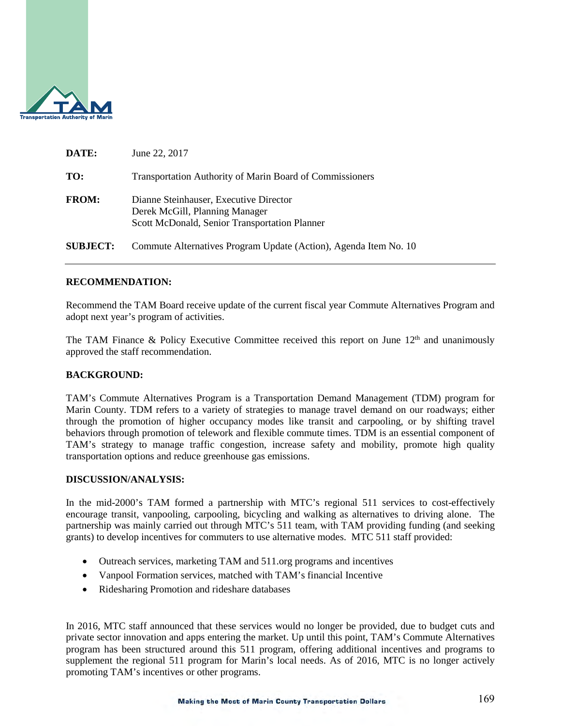

| DATE:           | June 22, 2017                                                                                                             |
|-----------------|---------------------------------------------------------------------------------------------------------------------------|
| TO:             | <b>Transportation Authority of Marin Board of Commissioners</b>                                                           |
| <b>FROM:</b>    | Dianne Steinhauser, Executive Director<br>Derek McGill, Planning Manager<br>Scott McDonald, Senior Transportation Planner |
| <b>SUBJECT:</b> | Commute Alternatives Program Update (Action), Agenda Item No. 10                                                          |

## **RECOMMENDATION:**

Recommend the TAM Board receive update of the current fiscal year Commute Alternatives Program and adopt next year's program of activities.

The TAM Finance & Policy Executive Committee received this report on June  $12<sup>th</sup>$  and unanimously approved the staff recommendation.

#### **BACKGROUND:**

TAM's Commute Alternatives Program is a Transportation Demand Management (TDM) program for Marin County. TDM refers to a variety of strategies to manage travel demand on our roadways; either through the promotion of higher occupancy modes like transit and carpooling, or by shifting travel behaviors through promotion of telework and flexible commute times. TDM is an essential component of TAM's strategy to manage traffic congestion, increase safety and mobility, promote high quality transportation options and reduce greenhouse gas emissions.

### **DISCUSSION/ANALYSIS:**

In the mid-2000's TAM formed a partnership with MTC's regional 511 services to cost-effectively encourage transit, vanpooling, carpooling, bicycling and walking as alternatives to driving alone. The partnership was mainly carried out through MTC's 511 team, with TAM providing funding (and seeking grants) to develop incentives for commuters to use alternative modes. MTC 511 staff provided:

- Outreach services, marketing TAM and 511.org programs and incentives
- Vanpool Formation services, matched with TAM's financial Incentive
- Ridesharing Promotion and rideshare databases

In 2016, MTC staff announced that these services would no longer be provided, due to budget cuts and private sector innovation and apps entering the market. Up until this point, TAM's Commute Alternatives program has been structured around this 511 program, offering additional incentives and programs to supplement the regional 511 program for Marin's local needs. As of 2016, MTC is no longer actively promoting TAM's incentives or other programs.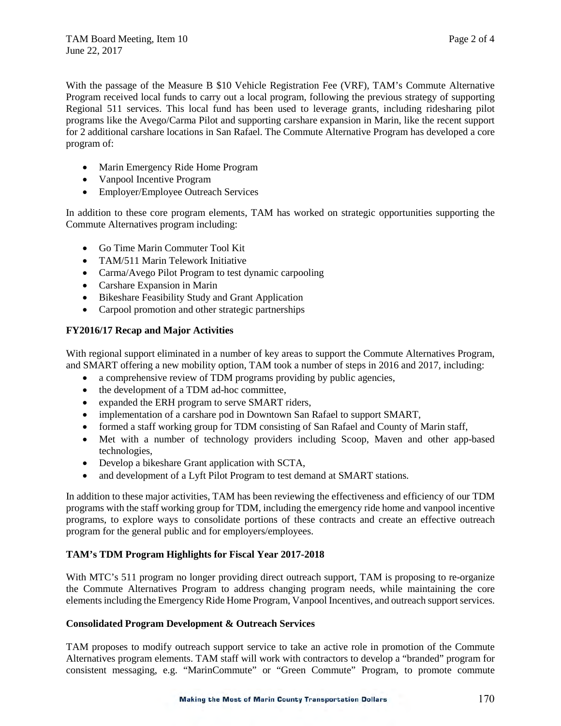With the passage of the Measure B \$10 Vehicle Registration Fee (VRF), TAM's Commute Alternative Program received local funds to carry out a local program, following the previous strategy of supporting Regional 511 services. This local fund has been used to leverage grants, including ridesharing pilot programs like the Avego/Carma Pilot and supporting carshare expansion in Marin, like the recent support for 2 additional carshare locations in San Rafael. The Commute Alternative Program has developed a core program of:

- Marin Emergency Ride Home Program
- Vanpool Incentive Program
- Employer/Employee Outreach Services

In addition to these core program elements, TAM has worked on strategic opportunities supporting the Commute Alternatives program including:

- Go Time Marin Commuter Tool Kit
- TAM/511 Marin Telework Initiative
- Carma/Avego Pilot Program to test dynamic carpooling
- Carshare Expansion in Marin
- Bikeshare Feasibility Study and Grant Application
- Carpool promotion and other strategic partnerships

# **FY2016/17 Recap and Major Activities**

With regional support eliminated in a number of key areas to support the Commute Alternatives Program, and SMART offering a new mobility option, TAM took a number of steps in 2016 and 2017, including:

- a comprehensive review of TDM programs providing by public agencies,
- the development of a TDM ad-hoc committee,
- expanded the ERH program to serve SMART riders,
- implementation of a carshare pod in Downtown San Rafael to support SMART,
- formed a staff working group for TDM consisting of San Rafael and County of Marin staff,
- Met with a number of technology providers including Scoop, Maven and other app-based technologies,
- Develop a bikeshare Grant application with SCTA,
- and development of a Lyft Pilot Program to test demand at SMART stations.

In addition to these major activities, TAM has been reviewing the effectiveness and efficiency of our TDM programs with the staff working group for TDM, including the emergency ride home and vanpool incentive programs, to explore ways to consolidate portions of these contracts and create an effective outreach program for the general public and for employers/employees.

## **TAM's TDM Program Highlights for Fiscal Year 2017-2018**

With MTC's 511 program no longer providing direct outreach support, TAM is proposing to re-organize the Commute Alternatives Program to address changing program needs, while maintaining the core elements including the Emergency Ride Home Program, Vanpool Incentives, and outreach support services.

## **Consolidated Program Development & Outreach Services**

TAM proposes to modify outreach support service to take an active role in promotion of the Commute Alternatives program elements. TAM staff will work with contractors to develop a "branded" program for consistent messaging, e.g. "MarinCommute" or "Green Commute" Program, to promote commute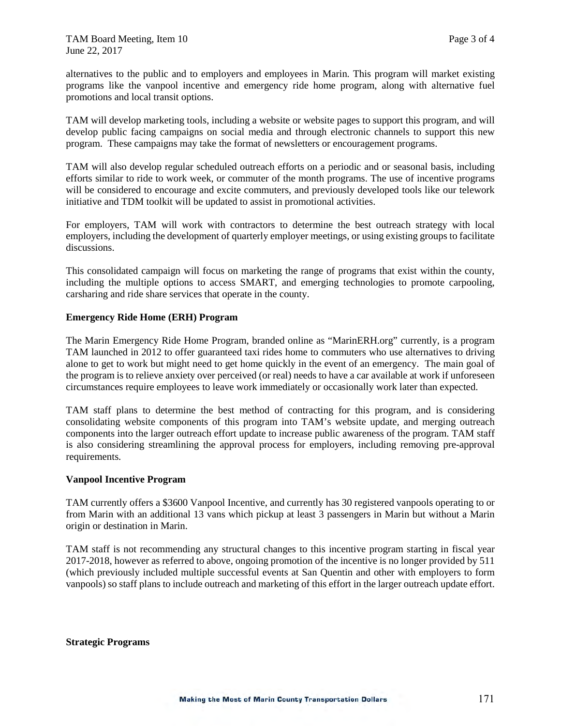alternatives to the public and to employers and employees in Marin. This program will market existing programs like the vanpool incentive and emergency ride home program, along with alternative fuel promotions and local transit options.

TAM will develop marketing tools, including a website or website pages to support this program, and will develop public facing campaigns on social media and through electronic channels to support this new program. These campaigns may take the format of newsletters or encouragement programs.

TAM will also develop regular scheduled outreach efforts on a periodic and or seasonal basis, including efforts similar to ride to work week, or commuter of the month programs. The use of incentive programs will be considered to encourage and excite commuters, and previously developed tools like our telework initiative and TDM toolkit will be updated to assist in promotional activities.

For employers, TAM will work with contractors to determine the best outreach strategy with local employers, including the development of quarterly employer meetings, or using existing groups to facilitate discussions.

This consolidated campaign will focus on marketing the range of programs that exist within the county, including the multiple options to access SMART, and emerging technologies to promote carpooling, carsharing and ride share services that operate in the county.

### **Emergency Ride Home (ERH) Program**

The Marin Emergency Ride Home Program, branded online as "MarinERH.org" currently, is a program TAM launched in 2012 to offer guaranteed taxi rides home to commuters who use alternatives to driving alone to get to work but might need to get home quickly in the event of an emergency. The main goal of the program is to relieve anxiety over perceived (or real) needs to have a car available at work if unforeseen circumstances require employees to leave work immediately or occasionally work later than expected.

TAM staff plans to determine the best method of contracting for this program, and is considering consolidating website components of this program into TAM's website update, and merging outreach components into the larger outreach effort update to increase public awareness of the program. TAM staff is also considering streamlining the approval process for employers, including removing pre-approval requirements.

#### **Vanpool Incentive Program**

TAM currently offers a \$3600 Vanpool Incentive, and currently has 30 registered vanpools operating to or from Marin with an additional 13 vans which pickup at least 3 passengers in Marin but without a Marin origin or destination in Marin.

TAM staff is not recommending any structural changes to this incentive program starting in fiscal year 2017-2018, however as referred to above, ongoing promotion of the incentive is no longer provided by 511 (which previously included multiple successful events at San Quentin and other with employers to form vanpools) so staff plans to include outreach and marketing of this effort in the larger outreach update effort.

**Strategic Programs**